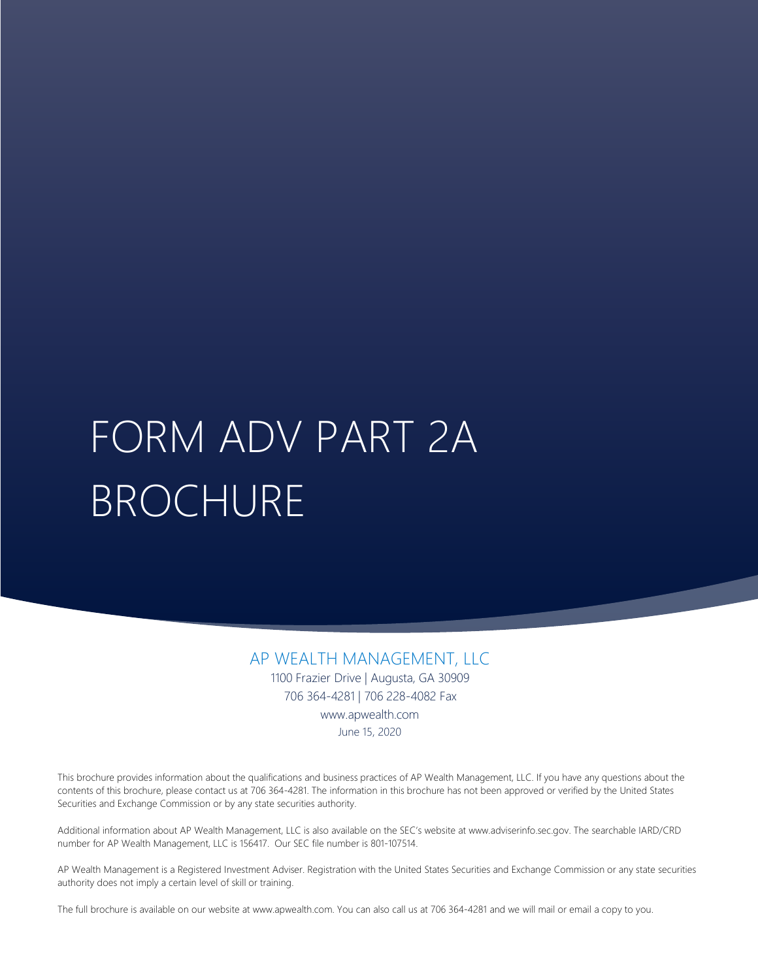# FORM ADV PART 2A BROCHURE

AP WEALTH MANAGEMENT, LLC 1100 Frazier Drive | Augusta, GA 30909 706 364-4281 www.apwealth.com March 1, 2021

This brochure provides information about the qualifications and business practices of AP Wealth Management, LLC. If you have any questions about the contents of this brochure, please contact us at 706 364-4281. The information in this brochure has not been approved or verified by the United States Securities and Exchange Commission or by any state securities authority.

Additional information about AP Wealth Management, LLC is also available on the SEC's website at www.adviserinfo.sec.gov. The searchable IARD/CRD number for AP Wealth Management, LLC is 156417. Our SEC file number is 801-107514.

AP Wealth Management is a Registered Investment Adviser. Registration with the United States Securities and Exchange Commission or any state securities authority does not imply a certain level of skill or training.

The full brochure is available on our website at www.apwealth.com. You can also call us at 706 364-4281 and we will mail or email a copy to you.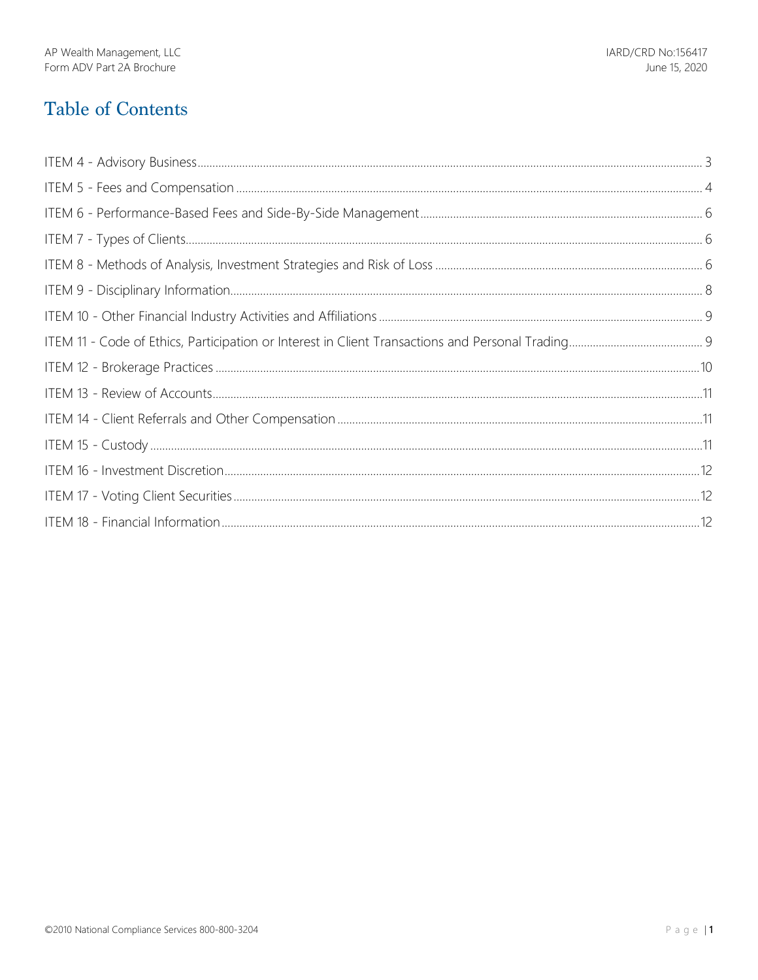# **Table of Contents**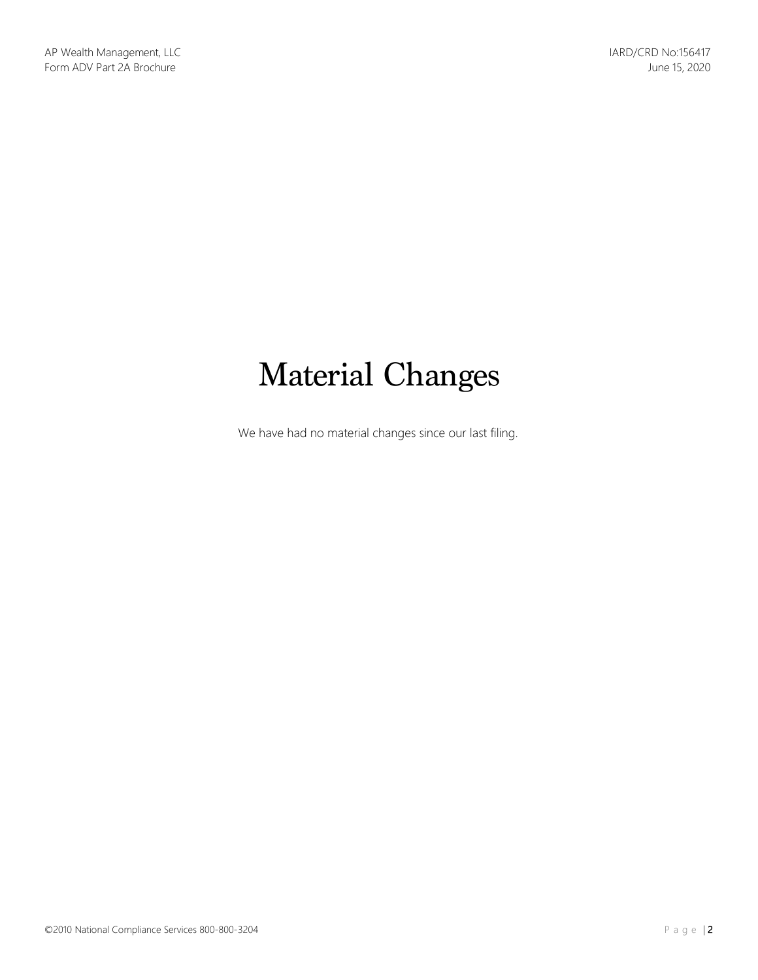# Material Changes

We have had no material changes since our last filing.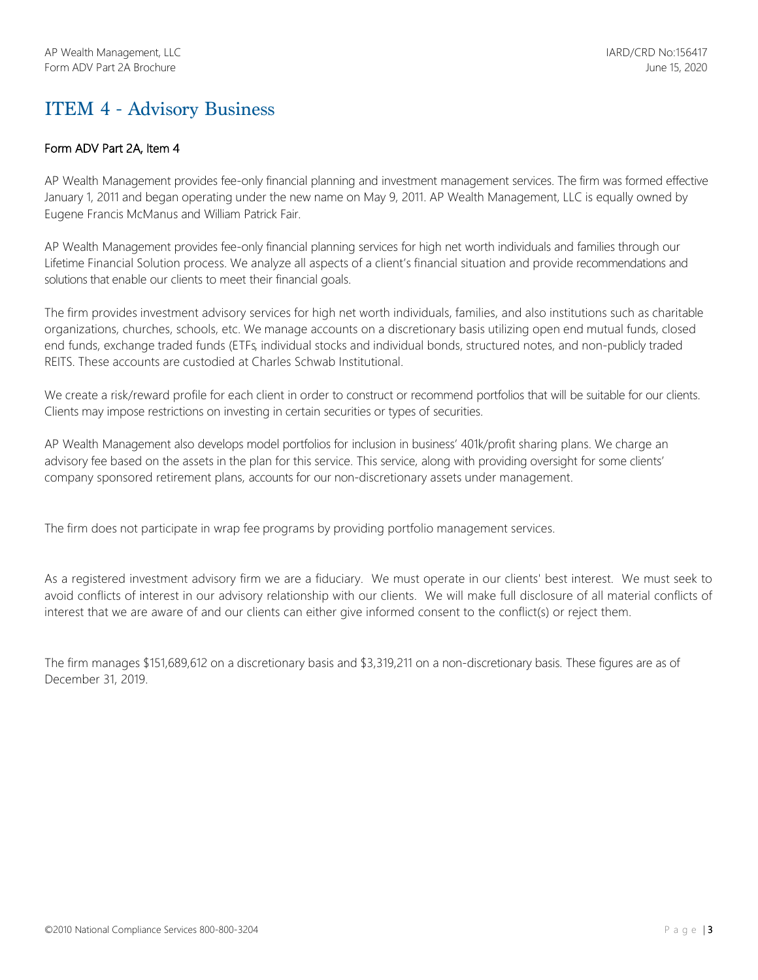# ITEM 4 - Advisory Business

## Form ADV Part 2A, Item 4

AP Wealth Management provides fee-only financial planning and investment management services. The firm was formed effective January 1, 2011 and began operating under the new name on May 9, 2011. AP Wealth Management, LLC is equally owned by Eugene Francis McManus and William Patrick Fair.

AP Wealth Management provides fee-only financial planning services for high net worth individuals and families through our Lifetime Financial Solution process. We analyze all aspects of a client's financial situation and provide recommendations and solutions that enable our clients to meet their financial goals.

The firm provides investment advisory services for high net worth individuals, families, and also institutions such as charitable organizations, churches, schools, etc. We manage accounts on a discretionary basis utilizing open end mutual funds, closed end funds, exchange traded funds (ETFs, individual stocks and individual bonds, structured notes, and non-publicly traded REITS. These accounts are custodied at Charles Schwab Institutional.

We create a risk/reward profile for each client in order to construct or recommend portfolios that will be suitable for our clients. Clients may impose restrictions on investing in certain securities or types of securities.

AP Wealth Management also develops model portfolios for inclusion in business' 401k/profit sharing plans. We charge an advisory fee based on the assets in the plan for this service. This service, along with providing oversight for some clients' company sponsored retirement plans, accounts for our non-discretionary assets under management.

The firm does not participate in wrap fee programs by providing portfolio management services.

As a registered investment advisory firm we are a fiduciary. We must operate in our clients' best interest. We must seek to avoid conflicts of interest in our advisory relationship with our clients. We will make full disclosure of all material conflicts of interest that we are aware of and our clients can either give informed consent to the conflict(s) or reject them.

The firm manages \$151,689,612 on a discretionary basis and \$3,319,211 on a non-discretionary basis. These figures are as of December 31, 2019.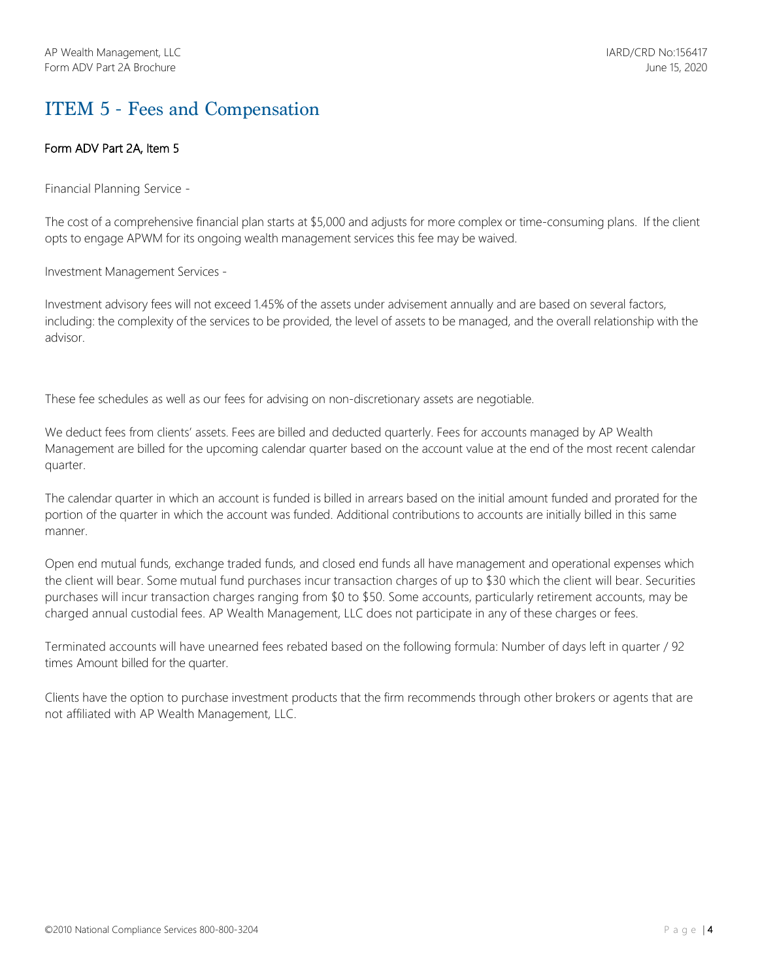# ITEM 5 - Fees and Compensation

## Form ADV Part 2A, Item 5

Financial Planning Service -

The cost of a comprehensive financial plan starts at \$5,000 and adjusts for more complex or time-consuming plans. If the client opts to engage APWM for its ongoing wealth management services this fee may be waived.

Investment Management Services -

Investment advisory fees will not exceed 1.45% of the assets under advisement annually and are based on several factors, including: the complexity of the services to be provided, the level of assets to be managed, and the overall relationship with the advisor.

These fee schedules as well as our fees for advising on non-discretionary assets are negotiable.

We deduct fees from clients' assets. Fees are billed and deducted quarterly. Fees for accounts managed by AP Wealth Management are billed for the upcoming calendar quarter based on the account value at the end of the most recent calendar quarter.

The calendar quarter in which an account is funded is billed in arrears based on the initial amount funded and prorated for the portion of the quarter in which the account was funded. Additional contributions to accounts are initially billed in this same manner.

Open end mutual funds, exchange traded funds, and closed end funds all have management and operational expenses which the client will bear. Some mutual fund purchases incur transaction charges of up to \$30 which the client will bear. Securities purchases will incur transaction charges ranging from \$0 to \$50. Some accounts, particularly retirement accounts, may be charged annual custodial fees. AP Wealth Management, LLC does not participate in any of these charges or fees.

Terminated accounts will have unearned fees rebated based on the following formula: Number of days left in quarter / 92 times Amount billed for the quarter.

Clients have the option to purchase investment products that the firm recommends through other brokers or agents that are not affiliated with AP Wealth Management, LLC.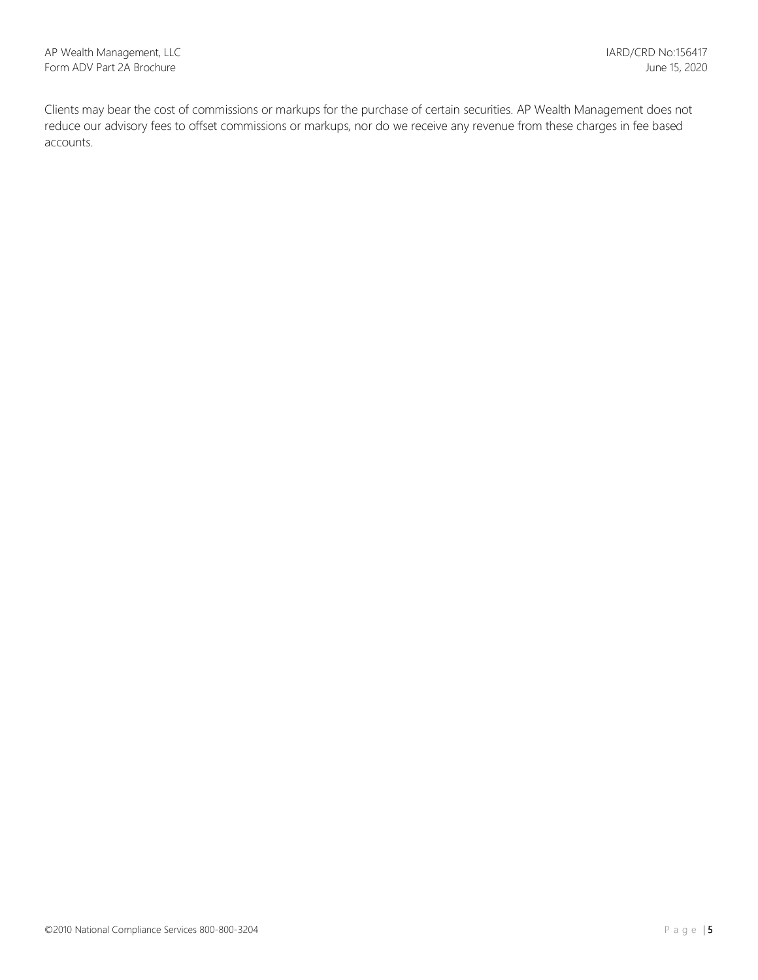Clients may bear the cost of commissions or markups for the purchase of certain securities. AP Wealth Management does not reduce our advisory fees to offset commissions or markups, nor do we receive any revenue from these charges in fee based accounts.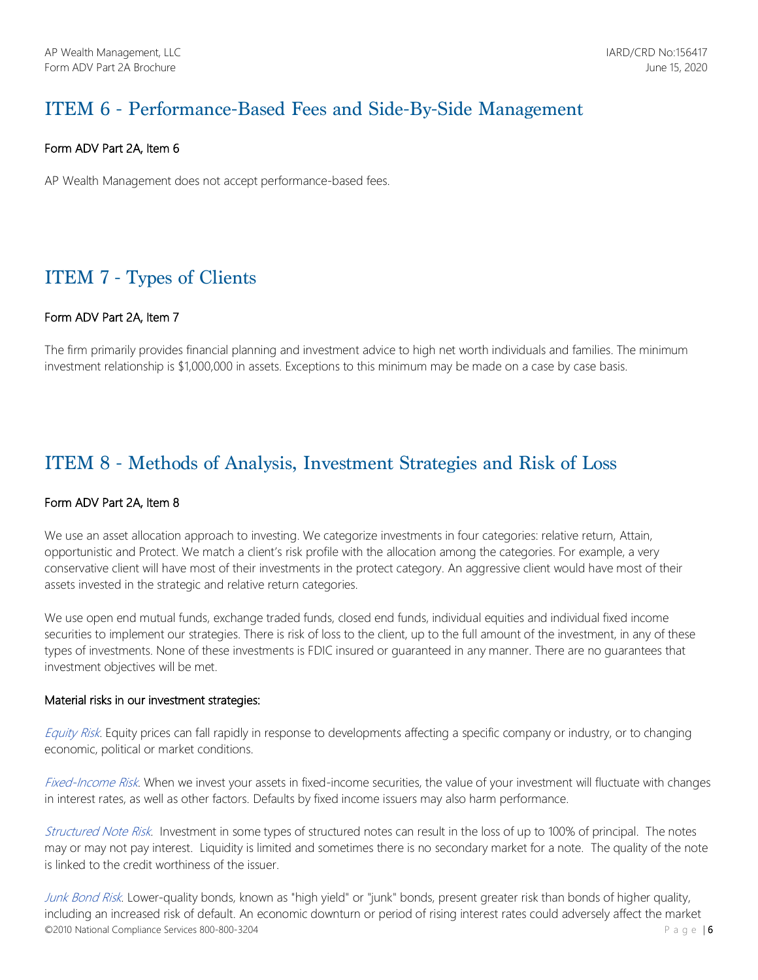# ITEM 6 - Performance-Based Fees and Side-By-Side Management

## Form ADV Part 2A, Item 6

AP Wealth Management does not accept performance-based fees.

# ITEM 7 - Types of Clients

## Form ADV Part 2A, Item 7

The firm primarily provides financial planning and investment advice to high net worth individuals and families. The minimum investment relationship is \$1,000,000 in assets. Exceptions to this minimum may be made on a case by case basis.

## ITEM 8 - Methods of Analysis, Investment Strategies and Risk of Loss

## Form ADV Part 2A, Item 8

We use an asset allocation approach to investing. We categorize investments in four categories: relative return, Attain, opportunistic and Protect. We match a client's risk profile with the allocation among the categories. For example, a very conservative client will have most of their investments in the protect category. An aggressive client would have most of their assets invested in the strategic and relative return categories.

We use open end mutual funds, exchange traded funds, closed end funds, individual equities and individual fixed income securities to implement our strategies. There is risk of loss to the client, up to the full amount of the investment, in any of these types of investments. None of these investments is FDIC insured or guaranteed in any manner. There are no guarantees that investment objectives will be met.

### Material risks in our investment strategies:

Equity Risk. Equity prices can fall rapidly in response to developments affecting a specific company or industry, or to changing economic, political or market conditions.

Fixed-Income Risk. When we invest your assets in fixed-income securities, the value of your investment will fluctuate with changes in interest rates, as well as other factors. Defaults by fixed income issuers may also harm performance.

Structured Note Risk. Investment in some types of structured notes can result in the loss of up to 100% of principal. The notes may or may not pay interest. Liquidity is limited and sometimes there is no secondary market for a note. The quality of the note is linked to the credit worthiness of the issuer.

© 2010 National Compliance Services 800-800-3204  $\blacksquare$  Page | 6 Junk Bond Risk. Lower-quality bonds, known as "high yield" or "junk" bonds, present greater risk than bonds of higher quality, including an increased risk of default. An economic downturn or period of rising interest rates could adversely affect the market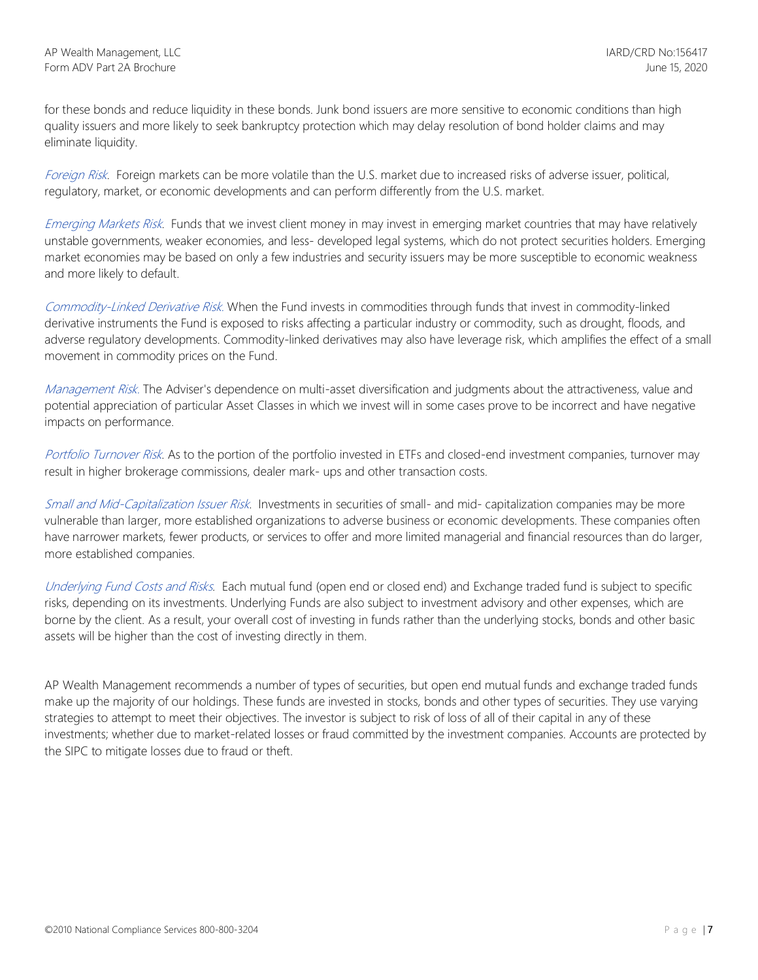for these bonds and reduce liquidity in these bonds. Junk bond issuers are more sensitive to economic conditions than high quality issuers and more likely to seek bankruptcy protection which may delay resolution of bond holder claims and may eliminate liquidity.

Foreign Risk. Foreign markets can be more volatile than the U.S. market due to increased risks of adverse issuer, political, regulatory, market, or economic developments and can perform differently from the U.S. market.

Emerging Markets Risk. Funds that we invest client money in may invest in emerging market countries that may have relatively unstable governments, weaker economies, and less- developed legal systems, which do not protect securities holders. Emerging market economies may be based on only a few industries and security issuers may be more susceptible to economic weakness and more likely to default.

Commodity-Linked Derivative Risk. When the Fund invests in commodities through funds that invest in commodity-linked derivative instruments the Fund is exposed to risks affecting a particular industry or commodity, such as drought, floods, and adverse regulatory developments. Commodity-linked derivatives may also have leverage risk, which amplifies the effect of a small movement in commodity prices on the Fund.

Management Risk. The Adviser's dependence on multi-asset diversification and judgments about the attractiveness, value and potential appreciation of particular Asset Classes in which we invest will in some cases prove to be incorrect and have negative impacts on performance.

Portfolio Turnover Risk. As to the portion of the portfolio invested in ETFs and closed-end investment companies, turnover may result in higher brokerage commissions, dealer mark- ups and other transaction costs.

Small and Mid-Capitalization Issuer Risk. Investments in securities of small- and mid- capitalization companies may be more vulnerable than larger, more established organizations to adverse business or economic developments. These companies often have narrower markets, fewer products, or services to offer and more limited managerial and financial resources than do larger, more established companies.

Underlying Fund Costs and Risks. Each mutual fund (open end or closed end) and Exchange traded fund is subject to specific risks, depending on its investments. Underlying Funds are also subject to investment advisory and other expenses, which are borne by the client. As a result, your overall cost of investing in funds rather than the underlying stocks, bonds and other basic assets will be higher than the cost of investing directly in them.

AP Wealth Management recommends a number of types of securities, but open end mutual funds and exchange traded funds make up the majority of our holdings. These funds are invested in stocks, bonds and other types of securities. They use varying strategies to attempt to meet their objectives. The investor is subject to risk of loss of all of their capital in any of these investments; whether due to market-related losses or fraud committed by the investment companies. Accounts are protected by the SIPC to mitigate losses due to fraud or theft.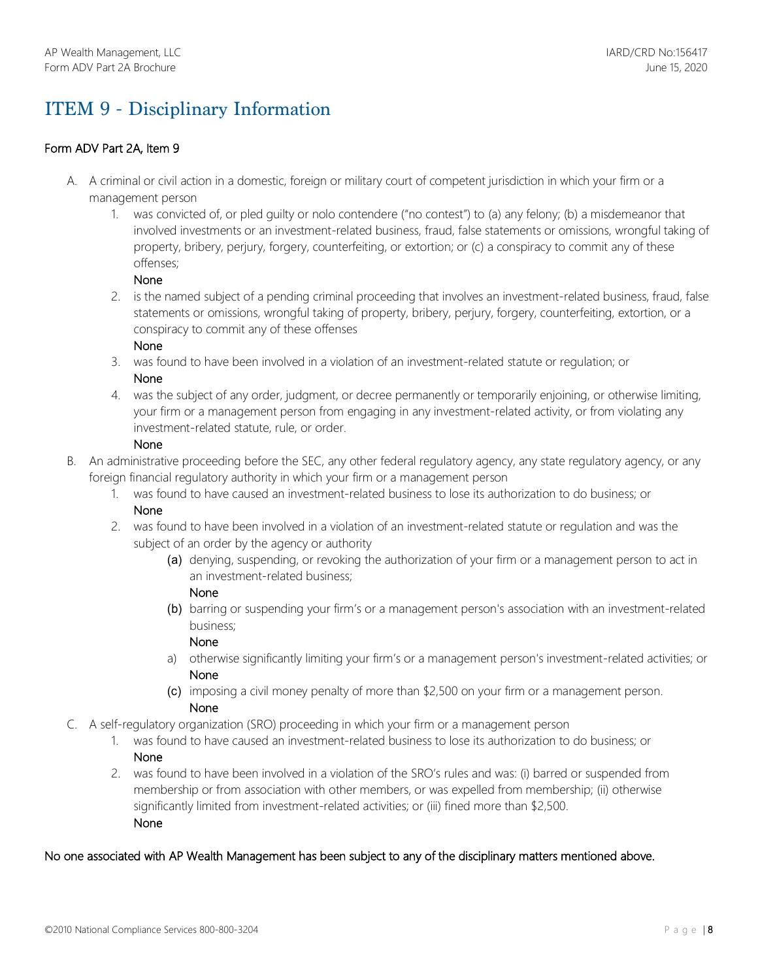# ITEM 9 - Disciplinary Information

## Form ADV Part 2A, Item 9

- A. A criminal or civil action in a domestic, foreign or military court of competent jurisdiction in which your firm or a management person
	- 1. was convicted of, or pled guilty or nolo contendere ("no contest") to (a) any felony; (b) a misdemeanor that involved investments or an investment-related business, fraud, false statements or omissions, wrongful taking of property, bribery, perjury, forgery, counterfeiting, or extortion; or (c) a conspiracy to commit any of these offenses;

### None

2. is the named subject of a pending criminal proceeding that involves an investment-related business, fraud, false statements or omissions, wrongful taking of property, bribery, perjury, forgery, counterfeiting, extortion, or a conspiracy to commit any of these offenses

## None

- 3. was found to have been involved in a violation of an investment-related statute or regulation; or None
- 4. was the subject of any order, judgment, or decree permanently or temporarily enjoining, or otherwise limiting, your firm or a management person from engaging in any investment-related activity, or from violating any investment-related statute, rule, or order.

### None

- B. An administrative proceeding before the SEC, any other federal regulatory agency, any state regulatory agency, or any foreign financial regulatory authority in which your firm or a management person
	- 1. was found to have caused an investment-related business to lose its authorization to do business; or None
	- 2. was found to have been involved in a violation of an investment-related statute or regulation and was the subject of an order by the agency or authority
		- (a) denying, suspending, or revoking the authorization of your firm or a management person to act in an investment-related business;

## None

(b) barring or suspending your firm's or a management person's association with an investment-related business;

## None

- a) otherwise significantly limiting your firm's or a management person's investment-related activities; or None
- (c) imposing a civil money penalty of more than \$2,500 on your firm or a management person. None
- C. A self-regulatory organization (SRO) proceeding in which your firm or a management person
	- 1. was found to have caused an investment-related business to lose its authorization to do business; or None
	- 2. was found to have been involved in a violation of the SRO's rules and was: (i) barred or suspended from membership or from association with other members, or was expelled from membership; (ii) otherwise significantly limited from investment-related activities; or (iii) fined more than \$2,500. None

## No one associated with AP Wealth Management has been subject to any of the disciplinary matters mentioned above.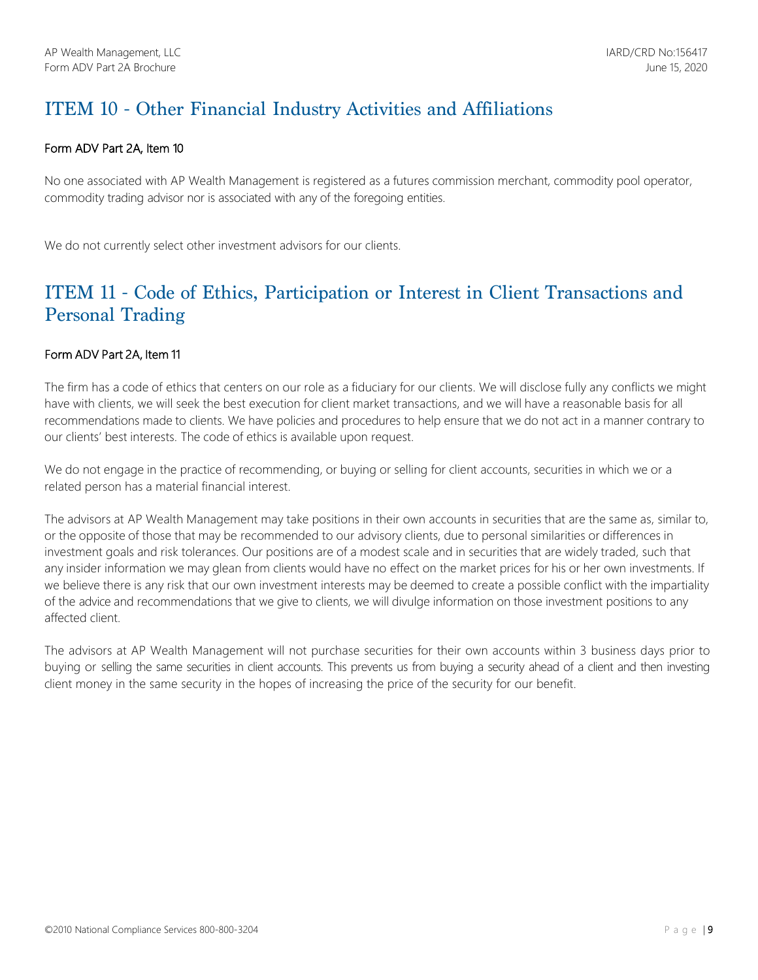# ITEM 10 - Other Financial Industry Activities and Affiliations

## Form ADV Part 2A, Item 10

No one associated with AP Wealth Management is registered as a futures commission merchant, commodity pool operator, commodity trading advisor nor is associated with any of the foregoing entities.

We do not currently select other investment advisors for our clients.

## ITEM 11 - Code of Ethics, Participation or Interest in Client Transactions and Personal Trading

## Form ADV Part 2A, Item 11

The firm has a code of ethics that centers on our role as a fiduciary for our clients. We will disclose fully any conflicts we might have with clients, we will seek the best execution for client market transactions, and we will have a reasonable basis for all recommendations made to clients. We have policies and procedures to help ensure that we do not act in a manner contrary to our clients' best interests. The code of ethics is available upon request.

We do not engage in the practice of recommending, or buying or selling for client accounts, securities in which we or a related person has a material financial interest.

The advisors at AP Wealth Management may take positions in their own accounts in securities that are the same as, similar to, or the opposite of those that may be recommended to our advisory clients, due to personal similarities or differences in investment goals and risk tolerances. Our positions are of a modest scale and in securities that are widely traded, such that any insider information we may glean from clients would have no effect on the market prices for his or her own investments. If we believe there is any risk that our own investment interests may be deemed to create a possible conflict with the impartiality of the advice and recommendations that we give to clients, we will divulge information on those investment positions to any affected client.

The advisors at AP Wealth Management will not purchase securities for their own accounts within 3 business days prior to buying or selling the same securities in client accounts. This prevents us from buying a security ahead of a client and then investing client money in the same security in the hopes of increasing the price of the security for our benefit.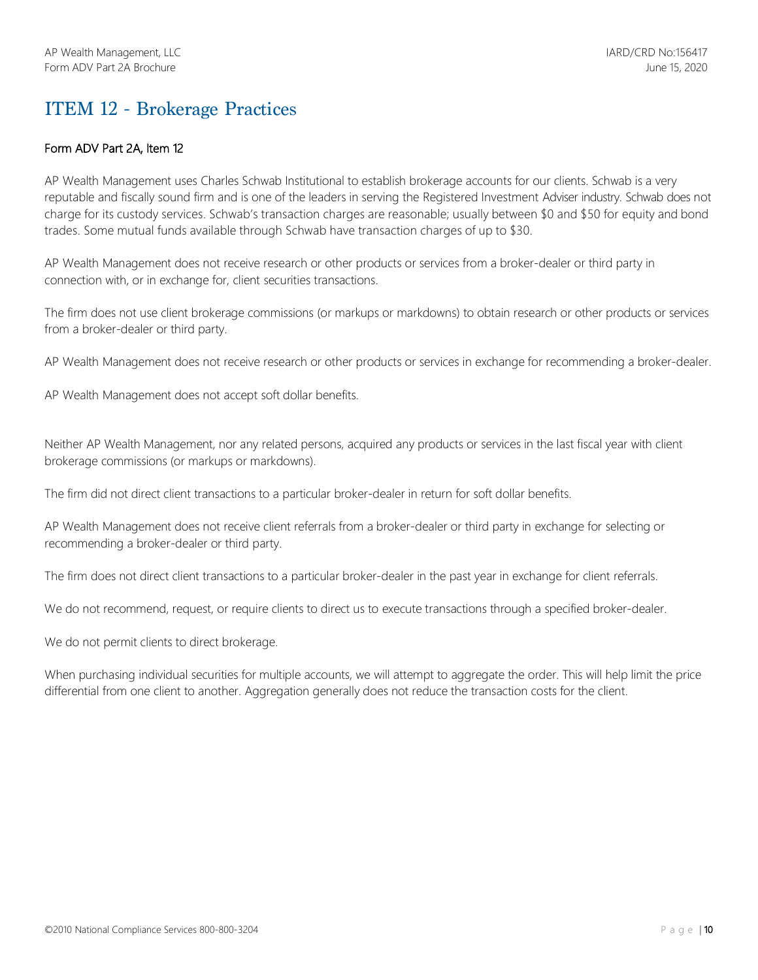## ITEM 12 - Brokerage Practices

## Form ADV Part 2A, Item 12

AP Wealth Management uses Charles Schwab Institutional to establish brokerage accounts for our clients. Schwab is a very reputable and fiscally sound firm and is one of the leaders in serving the Registered Investment Adviser industry. Schwab does not charge for its custody services. Schwab's transaction charges are reasonable; usually between \$0 and \$50 for equity and bond trades. Some mutual funds available through Schwab have transaction charges of up to \$30.

AP Wealth Management does not receive research or other products or services from a broker-dealer or third party in connection with, or in exchange for, client securities transactions.

The firm does not use client brokerage commissions (or markups or markdowns) to obtain research or other products or services from a broker-dealer or third party.

AP Wealth Management does not receive research or other products or services in exchange for recommending a broker-dealer.

AP Wealth Management does not accept soft dollar benefits.

Neither AP Wealth Management, nor any related persons, acquired any products or services in the last fiscal year with client brokerage commissions (or markups or markdowns).

The firm did not direct client transactions to a particular broker-dealer in return for soft dollar benefits.

AP Wealth Management does not receive client referrals from a broker-dealer or third party in exchange for selecting or recommending a broker-dealer or third party.

The firm does not direct client transactions to a particular broker-dealer in the past year in exchange for client referrals.

We do not recommend, request, or require clients to direct us to execute transactions through a specified broker-dealer.

We do not permit clients to direct brokerage.

When purchasing individual securities for multiple accounts, we will attempt to aggregate the order. This will help limit the price differential from one client to another. Aggregation generally does not reduce the transaction costs for the client.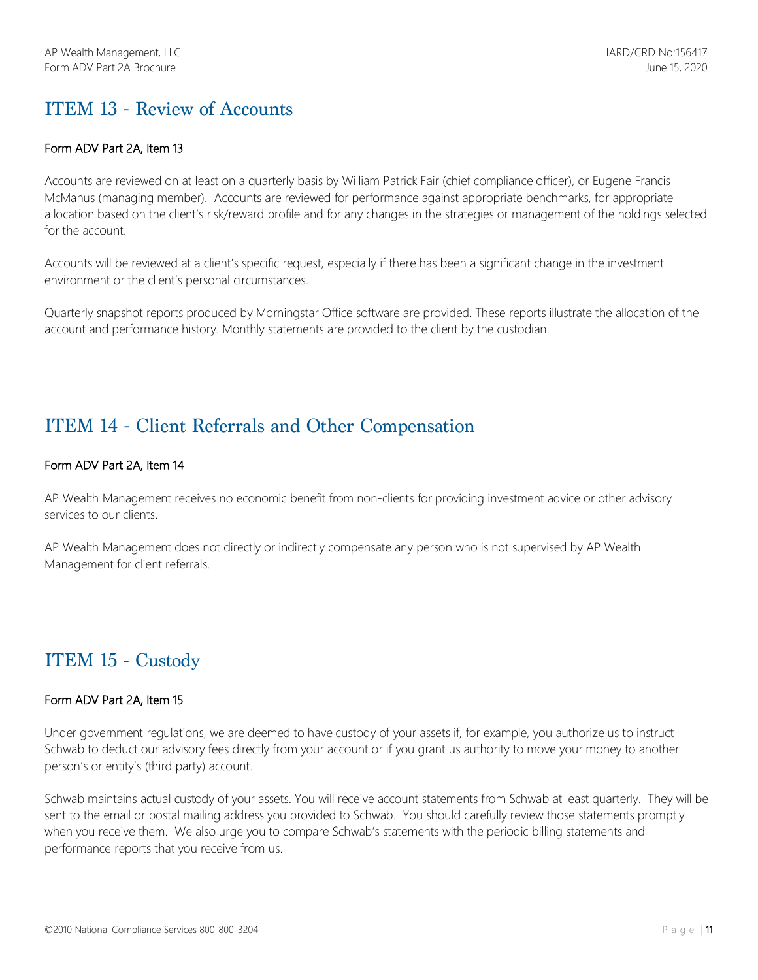## ITEM 13 - Review of Accounts

### Form ADV Part 2A, Item 13

Accounts are reviewed on at least on a quarterly basis by William Patrick Fair (chief compliance officer), or Eugene Francis McManus (managing member). Accounts are reviewed for performance against appropriate benchmarks, for appropriate allocation based on the client's risk/reward profile and for any changes in the strategies or management of the holdings selected for the account.

Accounts will be reviewed at a client's specific request, especially if there has been a significant change in the investment environment or the client's personal circumstances.

Quarterly snapshot reports produced by Morningstar Office software are provided. These reports illustrate the allocation of the account and performance history. Monthly statements are provided to the client by the custodian.

## ITEM 14 - Client Referrals and Other Compensation

## Form ADV Part 2A, Item 14

AP Wealth Management receives no economic benefit from non-clients for providing investment advice or other advisory services to our clients.

AP Wealth Management does not directly or indirectly compensate any person who is not supervised by AP Wealth Management for client referrals.

## ITEM 15 - Custody

#### Form ADV Part 2A, Item 15

Under government regulations, we are deemed to have custody of your assets if, for example, you authorize us to instruct Schwab to deduct our advisory fees directly from your account or if you grant us authority to move your money to another person's or entity's (third party) account.

Schwab maintains actual custody of your assets. You will receive account statements from Schwab at least quarterly. They will be sent to the email or postal mailing address you provided to Schwab. You should carefully review those statements promptly when you receive them. We also urge you to compare Schwab's statements with the periodic billing statements and performance reports that you receive from us.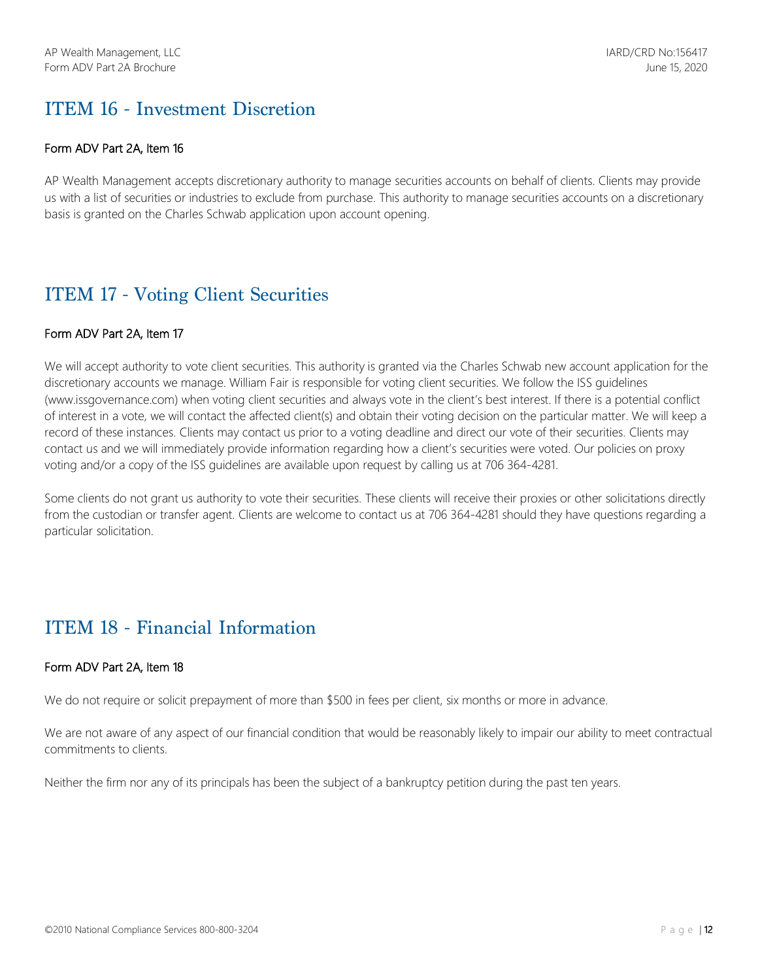## ITEM 16 - Investment Discretion

## Form ADV Part 2A, Item 16

AP Wealth Management accepts discretionary authority to manage securities accounts on behalf of clients. Clients may provide us with a list of securities or industries to exclude from purchase. This authority to manage securities accounts on a discretionary basis is granted on the Charles Schwab application upon account opening.

## ITEM 17 - Voting Client Securities

## Form ADV Part 2A, Item 17

We will accept authority to vote client securities. This authority is granted via the Charles Schwab new account application for the discretionary accounts we manage. William Fair is responsible for voting client securities. We follow the ISS guidelines (www.issgovernance.com) when voting client securities and always vote in the client's best interest. If there is a potential conflict of interest in a vote, we will contact the affected client(s) and obtain their voting decision on the particular matter. We will keep a record of these instances. Clients may contact us prior to a voting deadline and direct our vote of their securities. Clients may contact us and we will immediately provide information regarding how a client's securities were voted. Our policies on proxy voting and/or a copy of the ISS guidelines are available upon request by calling us at 706 364-4281.

Some clients do not grant us authority to vote their securities. These clients will receive their proxies or other solicitations directly from the custodian or transfer agent. Clients are welcome to contact us at 706 364-4281 should they have questions regarding a particular solicitation.

## ITEM 18 - Financial Information

#### Form ADV Part 2A, Item 18

We do not require or solicit prepayment of more than \$500 in fees per client, six months or more in advance.

We are not aware of any aspect of our financial condition that would be reasonably likely to impair our ability to meet contractual commitments to clients.

Neither the firm nor any of its principals has been the subject of a bankruptcy petition during the past ten years.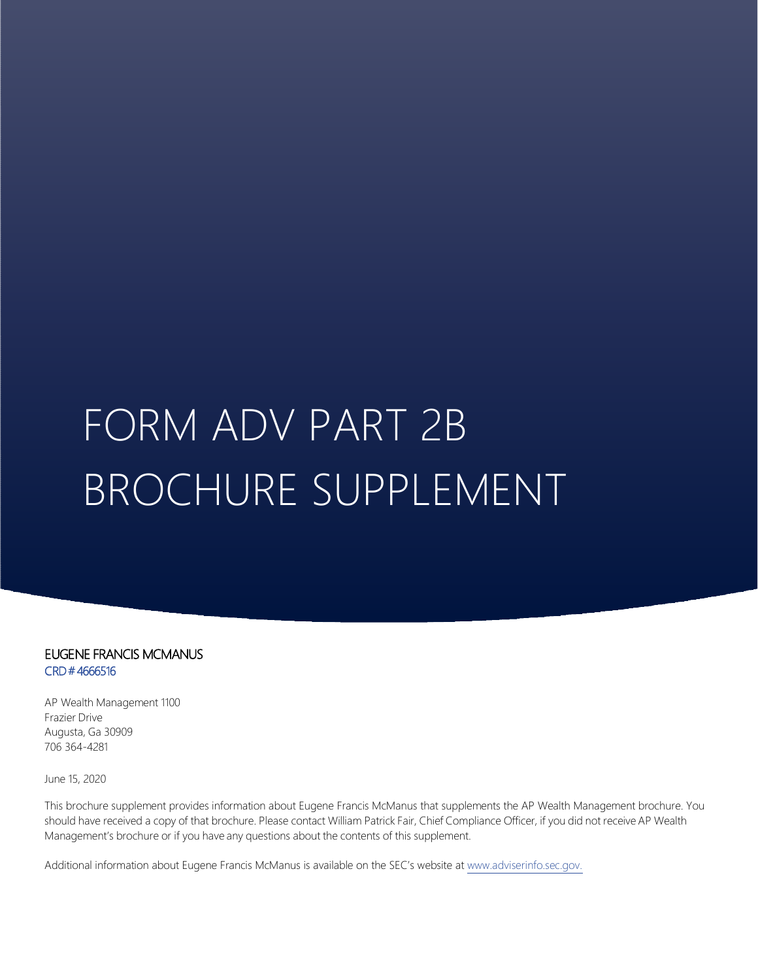# FORM ADV PART 2B BROCHURE SUPPLEMENT

## EUGENE FRANCIS MCMANUS CRD # 4666516

AP Wealth Management 1100 Frazier Drive Augusta, Ga 30909 706 364-4281

June 15, 2020

This brochure supplement provides information about Eugene Francis McManus that supplements the AP Wealth Management brochure. You should have received a copy of that brochure. Please contact William Patrick Fair, Chief Compliance Officer, if you did not receive AP Wealth Management's brochure or if you have any questions about the contents of this supplement.

Additional information about Eugene Francis McManus is available on the SEC's website at www.adviserinfo.sec.gov.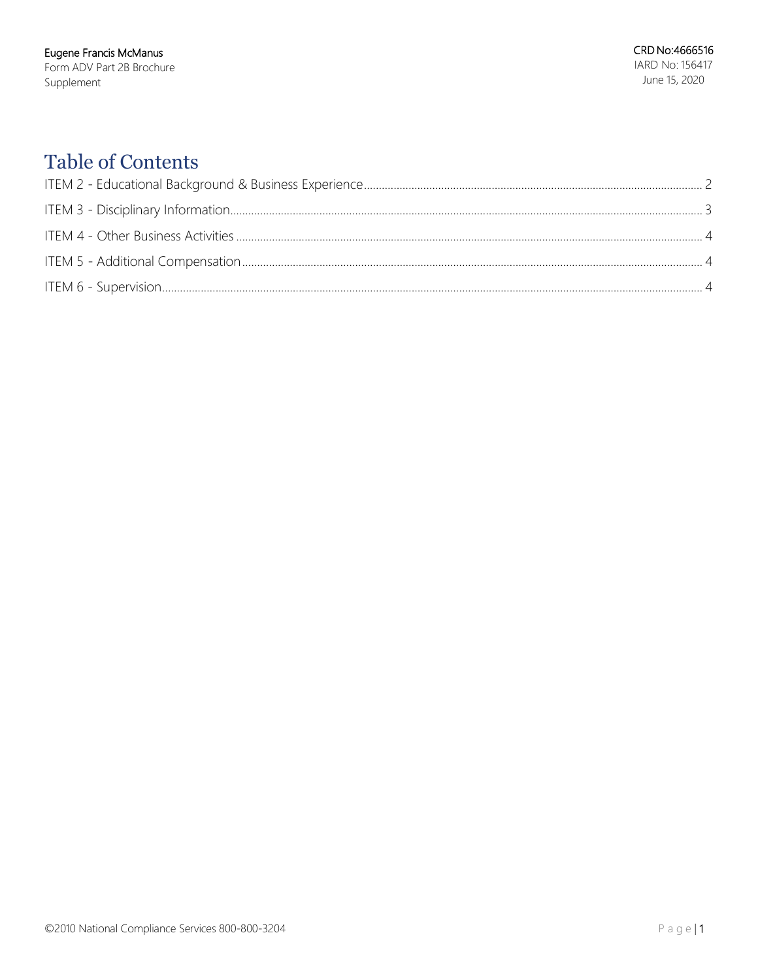# **Table of Contents**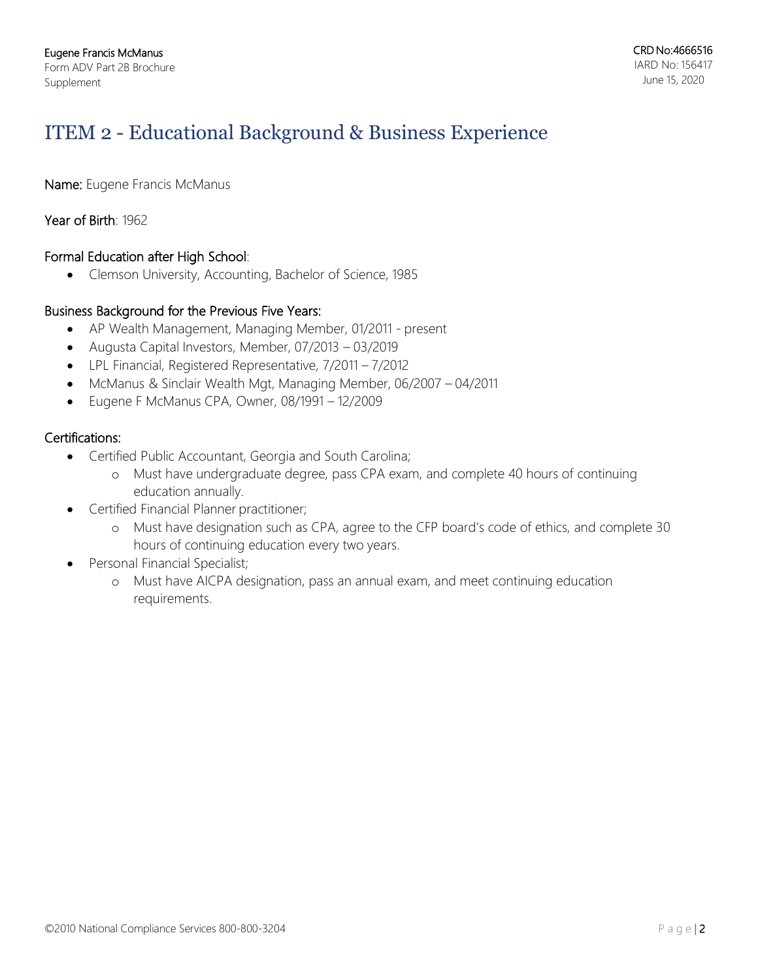# ITEM 2 - Educational Background & Business Experience

Name: Eugene Francis McManus

## Year of Birth: 1962

## Formal Education after High School:

• Clemson University, Accounting, Bachelor of Science, 1985

## Business Background for the Previous Five Years:

- AP Wealth Management, Managing Member, 01/2011 present
- Augusta Capital Investors, Member, 07/2013 03/2019
- LPL Financial, Registered Representative, 7/2011 7/2012
- McManus & Sinclair Wealth Mgt, Managing Member, 06/2007 04/2011
- Eugene F McManus CPA, Owner, 08/1991 12/2009

## Certifications:

- Certified Public Accountant, Georgia and South Carolina;
	- o Must have undergraduate degree, pass CPA exam, and complete 40 hours of continuing education annually.
- Certified Financial Planner practitioner;
	- o Must have designation such as CPA, agree to the CFP board's code of ethics, and complete 30 hours of continuing education every two years.
- Personal Financial Specialist;
	- o Must have AICPA designation, pass an annual exam, and meet continuing education requirements.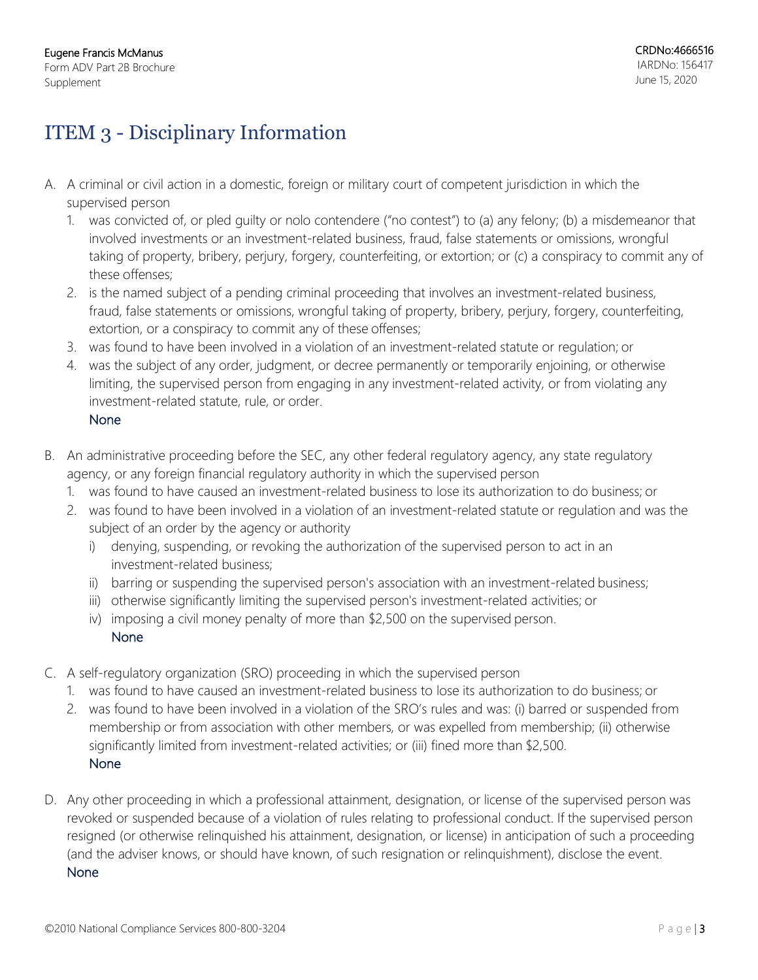# ITEM 3 - Disciplinary Information

- A. A criminal or civil action in a domestic, foreign or military court of competent jurisdiction in which the supervised person
	- 1. was convicted of, or pled guilty or nolo contendere ("no contest") to (a) any felony; (b) a misdemeanor that involved investments or an investment-related business, fraud, false statements or omissions, wrongful taking of property, bribery, perjury, forgery, counterfeiting, or extortion; or (c) a conspiracy to commit any of these offenses;
	- 2. is the named subject of a pending criminal proceeding that involves an investment-related business, fraud, false statements or omissions, wrongful taking of property, bribery, perjury, forgery, counterfeiting, extortion, or a conspiracy to commit any of these offenses;
	- 3. was found to have been involved in a violation of an investment-related statute or regulation; or
	- 4. was the subject of any order, judgment, or decree permanently or temporarily enjoining, or otherwise limiting, the supervised person from engaging in any investment-related activity, or from violating any investment-related statute, rule, or order.
		- None
- B. An administrative proceeding before the SEC, any other federal regulatory agency, any state regulatory agency, or any foreign financial regulatory authority in which the supervised person
	- 1. was found to have caused an investment-related business to lose its authorization to do business; or
	- 2. was found to have been involved in a violation of an investment-related statute or regulation and was the subject of an order by the agency or authority
		- i) denying, suspending, or revoking the authorization of the supervised person to act in an investment-related business;
		- ii) barring or suspending the supervised person's association with an investment-related business;
		- iii) otherwise significantly limiting the supervised person's investment-related activities; or
		- iv) imposing a civil money penalty of more than \$2,500 on the supervised person. None
- C. A self-regulatory organization (SRO) proceeding in which the supervised person
	- 1. was found to have caused an investment-related business to lose its authorization to do business; or
	- 2. was found to have been involved in a violation of the SRO's rules and was: (i) barred or suspended from membership or from association with other members, or was expelled from membership; (ii) otherwise significantly limited from investment-related activities; or (iii) fined more than \$2,500. None
- D. Any other proceeding in which a professional attainment, designation, or license of the supervised person was revoked or suspended because of a violation of rules relating to professional conduct. If the supervised person resigned (or otherwise relinquished his attainment, designation, or license) in anticipation of such a proceeding (and the adviser knows, or should have known, of such resignation or relinquishment), disclose the event. None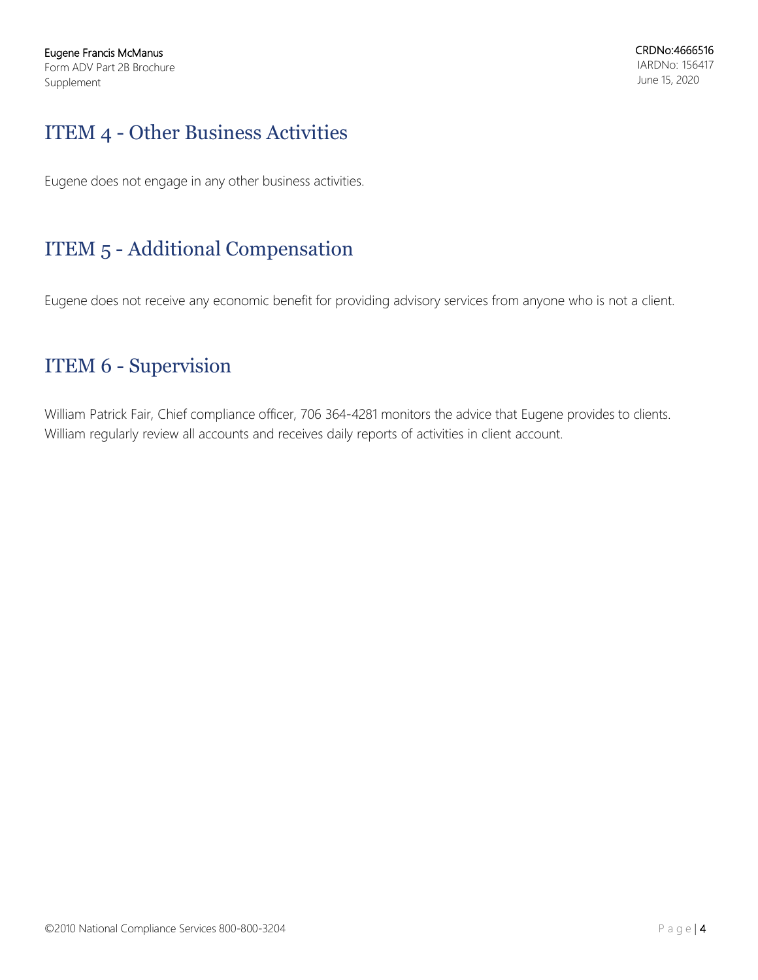# ITEM 4 - Other Business Activities

Eugene does not engage in any other business activities.

# ITEM 5 - Additional Compensation

Eugene does not receive any economic benefit for providing advisory services from anyone who is not a client.

# ITEM 6 - Supervision

William Patrick Fair, Chief compliance officer, 706 364-4281 monitors the advice that Eugene provides to clients. William regularly review all accounts and receives daily reports of activities in client account.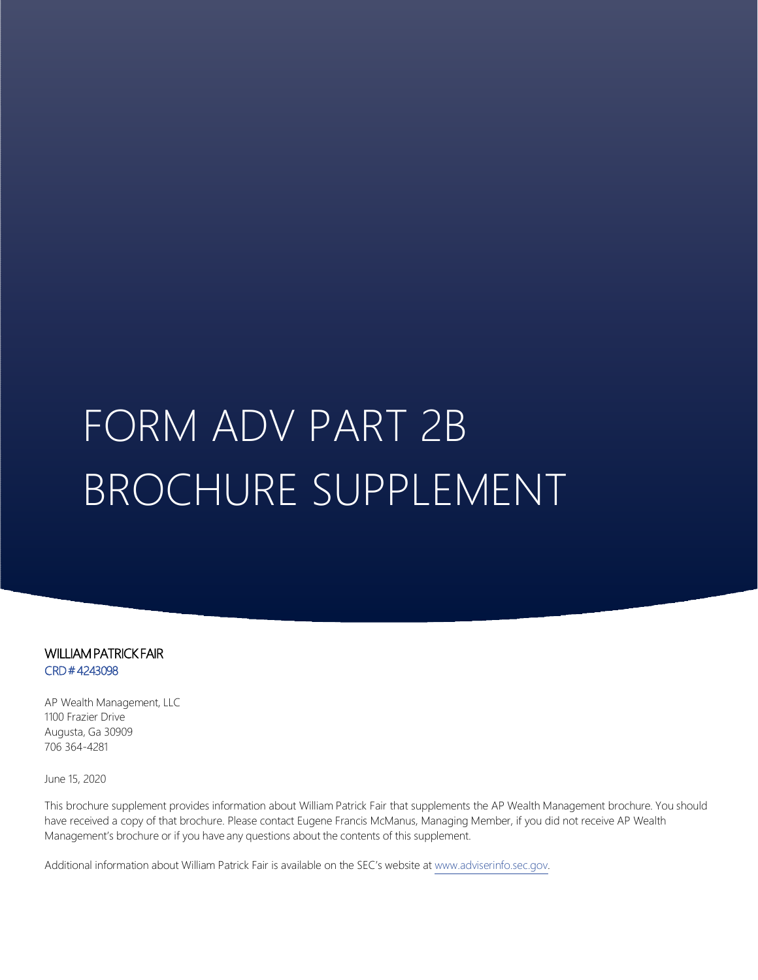# FORM ADV PART 2B BROCHURE SUPPLEMENT

WILLIAM PATRICK FAIR CRD # 4243098

AP Wealth Management, LLC 1100 Frazier Drive Augusta, Ga 30909 706 364-4281

June 15, 2020

This brochure supplement provides information about William Patrick Fair that supplements the AP Wealth Management brochure. You should have received a copy of that brochure. Please contact Eugene Francis McManus, Managing Member, if you did not receive AP Wealth Management's brochure or if you have any questions about the contents of this supplement.

Additional information about William Patrick Fair is available on the SEC's website at www.adviserinfo.sec.gov.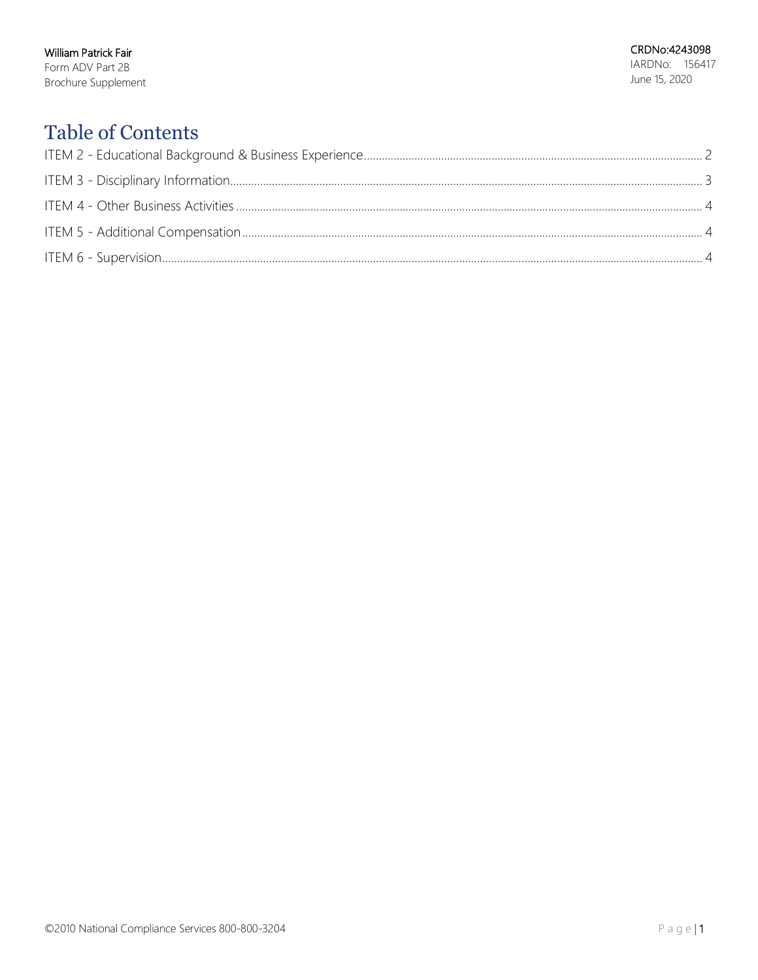William Patrick Fair Form ADV Part 2B Brochure Supplement

# **Table of Contents**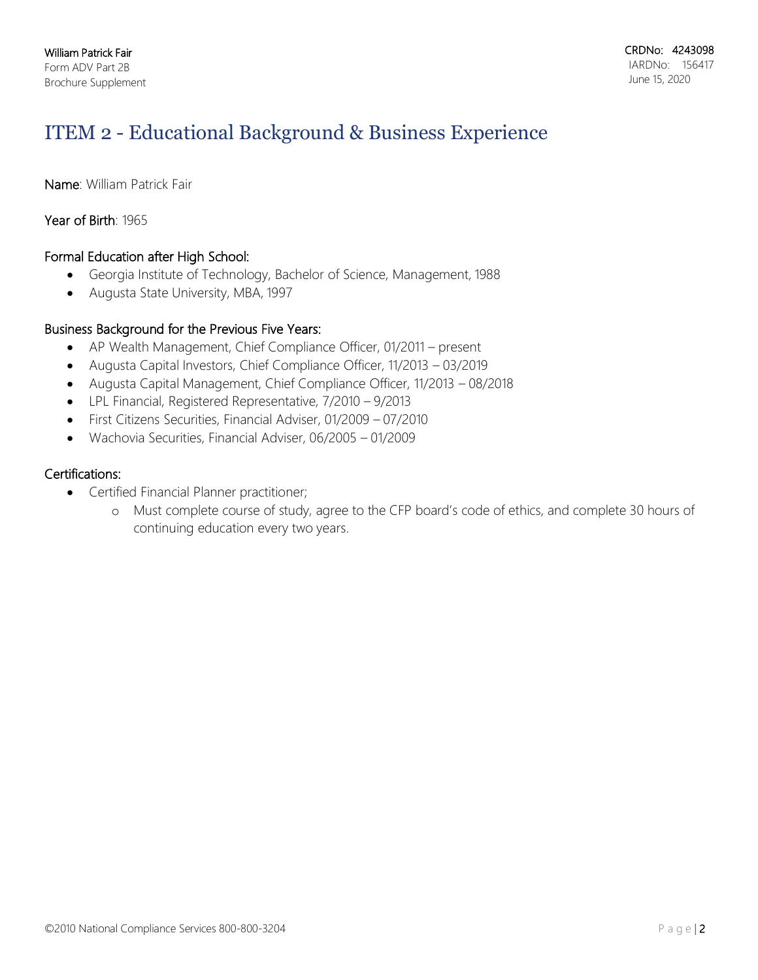# ITEM 2 - Educational Background & Business Experience

Name: William Patrick Fair

## Year of Birth: 1965

## Formal Education after High School:

- Georgia Institute of Technology, Bachelor of Science, Management, 1988
- Augusta State University, MBA, 1997

## Business Background for the Previous Five Years:

- AP Wealth Management, Chief Compliance Officer, 01/2011 present
- Augusta Capital Investors, Chief Compliance Officer, 11/2013 03/2019
- Augusta Capital Management, Chief Compliance Officer, 11/2013 08/2018
- LPL Financial, Registered Representative, 7/2010 9/2013
- First Citizens Securities, Financial Adviser, 01/2009 07/2010
- Wachovia Securities, Financial Adviser, 06/2005 01/2009

## Certifications:

- Certified Financial Planner practitioner;
	- o Must complete course of study, agree to the CFP board's code of ethics, and complete 30 hours of continuing education every two years.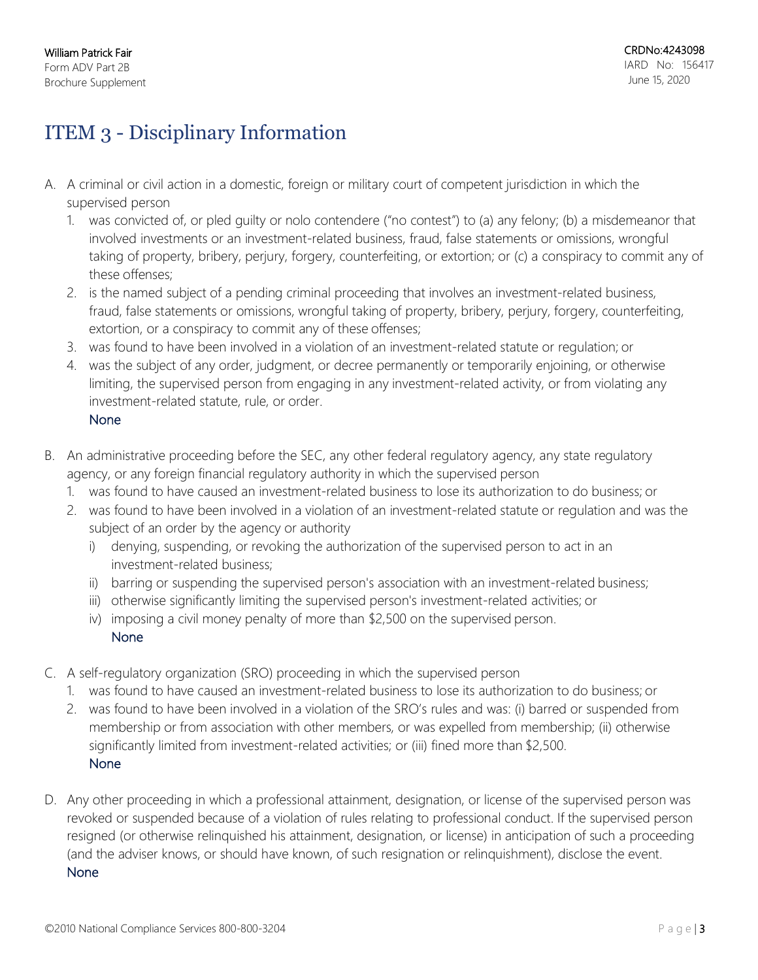# ITEM 3 - Disciplinary Information

- A. A criminal or civil action in a domestic, foreign or military court of competent jurisdiction in which the supervised person
	- 1. was convicted of, or pled guilty or nolo contendere ("no contest") to (a) any felony; (b) a misdemeanor that involved investments or an investment-related business, fraud, false statements or omissions, wrongful taking of property, bribery, perjury, forgery, counterfeiting, or extortion; or (c) a conspiracy to commit any of these offenses;
	- 2. is the named subject of a pending criminal proceeding that involves an investment-related business, fraud, false statements or omissions, wrongful taking of property, bribery, perjury, forgery, counterfeiting, extortion, or a conspiracy to commit any of these offenses;
	- 3. was found to have been involved in a violation of an investment-related statute or regulation; or
	- 4. was the subject of any order, judgment, or decree permanently or temporarily enjoining, or otherwise limiting, the supervised person from engaging in any investment-related activity, or from violating any investment-related statute, rule, or order.
		- None
- B. An administrative proceeding before the SEC, any other federal regulatory agency, any state regulatory agency, or any foreign financial regulatory authority in which the supervised person
	- 1. was found to have caused an investment-related business to lose its authorization to do business; or
	- 2. was found to have been involved in a violation of an investment-related statute or regulation and was the subject of an order by the agency or authority
		- i) denying, suspending, or revoking the authorization of the supervised person to act in an investment-related business;
		- ii) barring or suspending the supervised person's association with an investment-related business;
		- iii) otherwise significantly limiting the supervised person's investment-related activities; or
		- iv) imposing a civil money penalty of more than \$2,500 on the supervised person. None
- C. A self-regulatory organization (SRO) proceeding in which the supervised person
	- 1. was found to have caused an investment-related business to lose its authorization to do business; or
	- 2. was found to have been involved in a violation of the SRO's rules and was: (i) barred or suspended from membership or from association with other members, or was expelled from membership; (ii) otherwise significantly limited from investment-related activities; or (iii) fined more than \$2,500. None
- D. Any other proceeding in which a professional attainment, designation, or license of the supervised person was revoked or suspended because of a violation of rules relating to professional conduct. If the supervised person resigned (or otherwise relinquished his attainment, designation, or license) in anticipation of such a proceeding (and the adviser knows, or should have known, of such resignation or relinquishment), disclose the event. None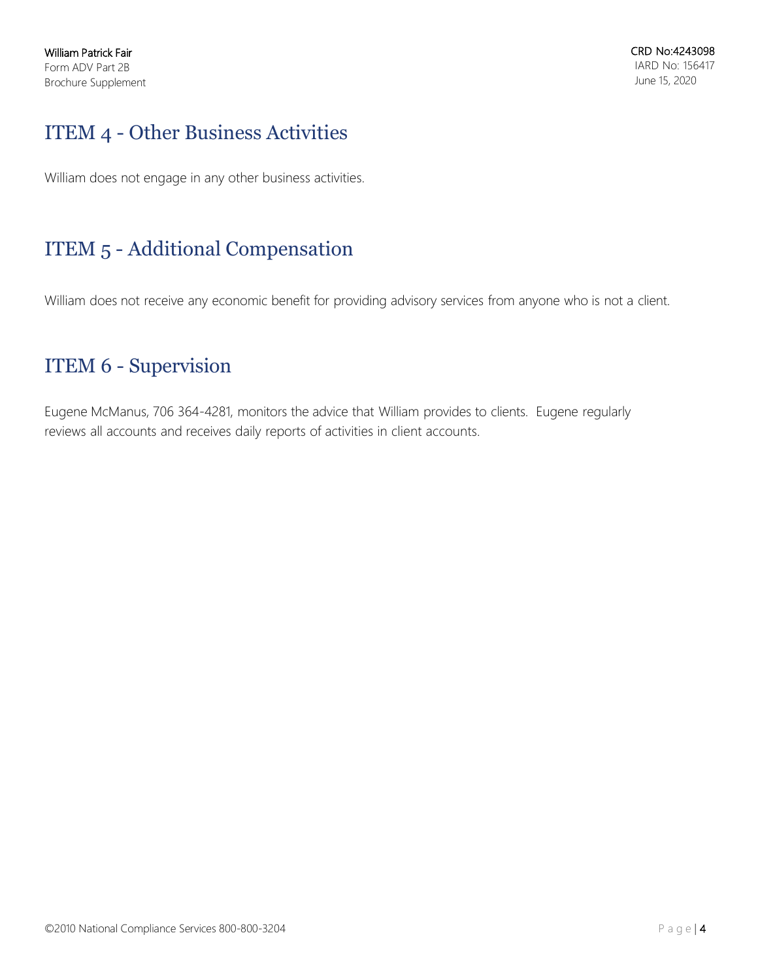# ITEM 4 - Other Business Activities

William does not engage in any other business activities.

# ITEM 5 - Additional Compensation

William does not receive any economic benefit for providing advisory services from anyone who is not a client.

# ITEM 6 - Supervision

Eugene McManus, 706 364-4281, monitors the advice that William provides to clients. Eugene regularly reviews all accounts and receives daily reports of activities in client accounts.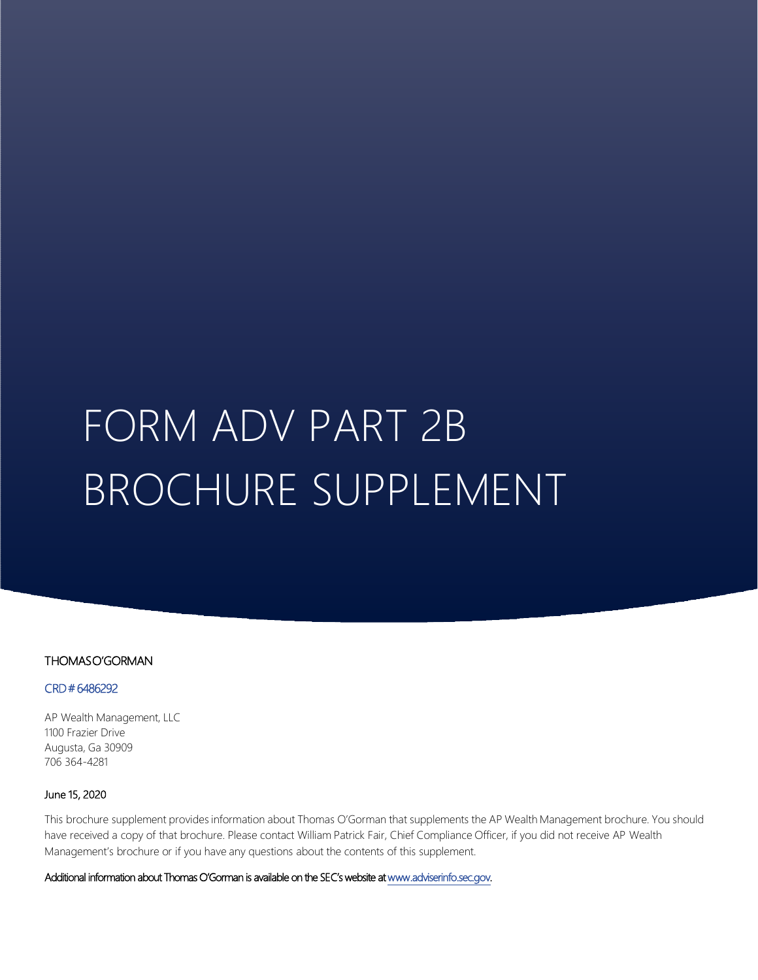# FORM ADV PART 2B BROCHURE SUPPLEMENT

## THOMAS O'GORMAN

### CRD # 6486292

AP Wealth Management, LLC 1100 Frazier Drive Augusta, Ga 30909 706 364-4281

### June 15, 2020

This brochure supplement provides information about Thomas O'Gorman that supplements the AP Wealth Management brochure. You should have received a copy of that brochure. Please contact William Patrick Fair, Chief Compliance Officer, if you did not receive AP Wealth Management's brochure or if you have any questions about the contents of this supplement.

Additional information about Thomas O'Gorman is available on the SEC's website at www.adviserinfo.sec.gov.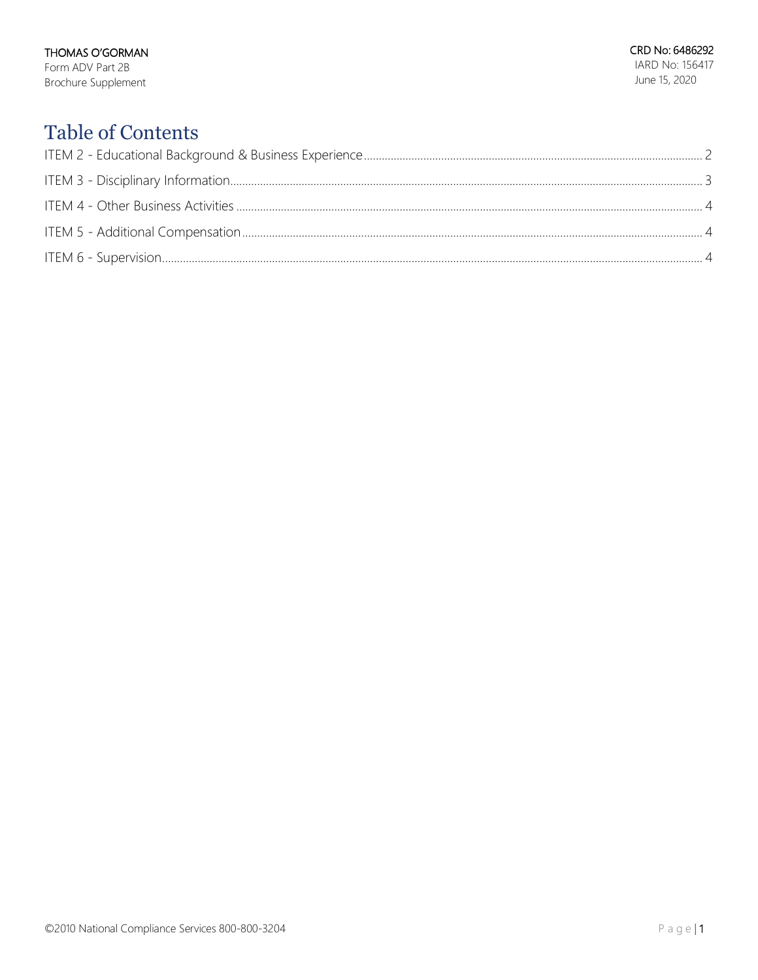# **Table of Contents**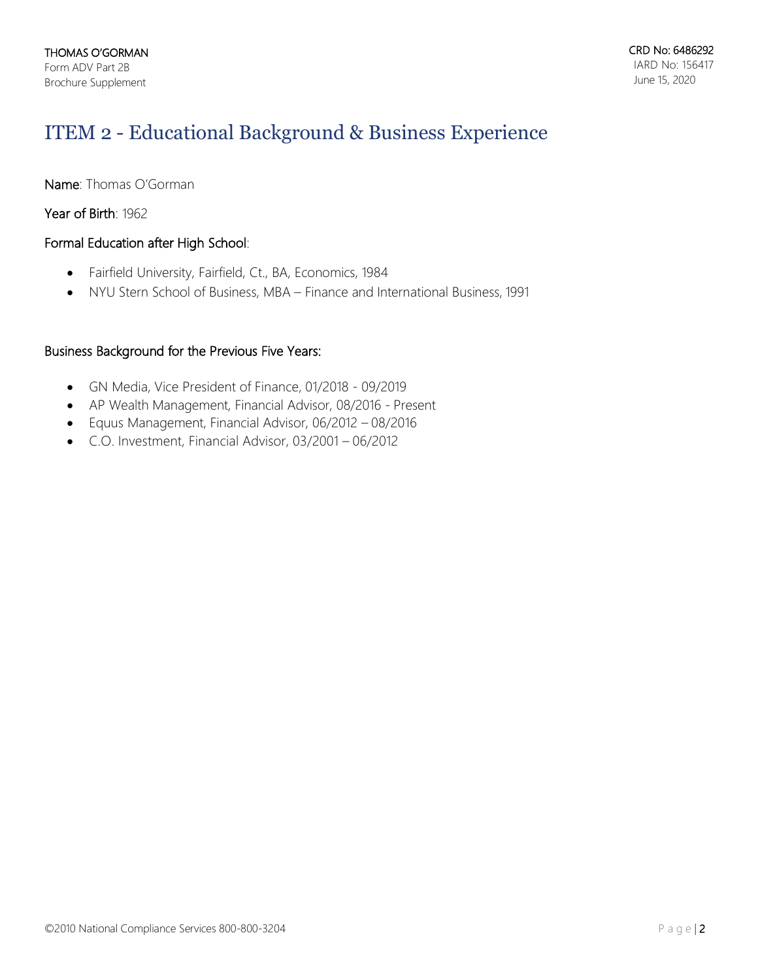# ITEM 2 - Educational Background & Business Experience

Name: Thomas O'Gorman

Year of Birth: 1962

## Formal Education after High School:

- Fairfield University, Fairfield, Ct., BA, Economics, 1984
- NYU Stern School of Business, MBA Finance and International Business, 1991

## Business Background for the Previous Five Years:

- GN Media, Vice President of Finance, 01/2018 09/2019
- AP Wealth Management, Financial Advisor, 08/2016 Present
- Equus Management, Financial Advisor, 06/2012 08/2016
- C.O. Investment, Financial Advisor, 03/2001 06/2012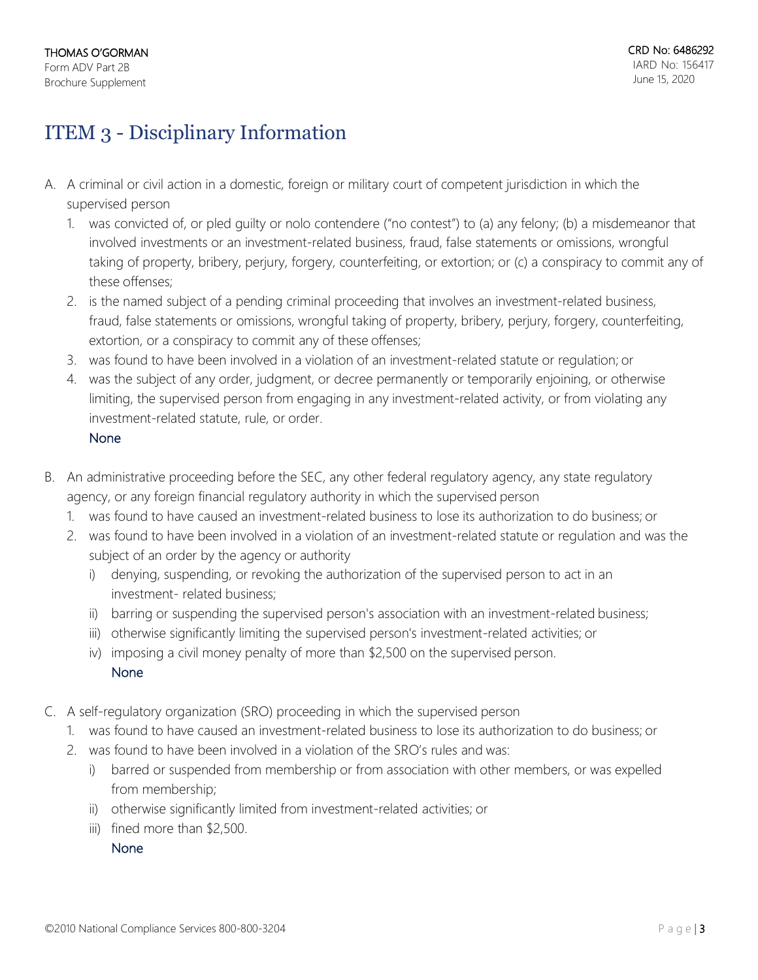# ITEM 3 - Disciplinary Information

- A. A criminal or civil action in a domestic, foreign or military court of competent jurisdiction in which the supervised person
	- 1. was convicted of, or pled guilty or nolo contendere ("no contest") to (a) any felony; (b) a misdemeanor that involved investments or an investment-related business, fraud, false statements or omissions, wrongful taking of property, bribery, perjury, forgery, counterfeiting, or extortion; or (c) a conspiracy to commit any of these offenses;
	- 2. is the named subject of a pending criminal proceeding that involves an investment-related business, fraud, false statements or omissions, wrongful taking of property, bribery, perjury, forgery, counterfeiting, extortion, or a conspiracy to commit any of these offenses;
	- 3. was found to have been involved in a violation of an investment-related statute or regulation; or
	- 4. was the subject of any order, judgment, or decree permanently or temporarily enjoining, or otherwise limiting, the supervised person from engaging in any investment-related activity, or from violating any investment-related statute, rule, or order.

## None

- B. An administrative proceeding before the SEC, any other federal regulatory agency, any state regulatory agency, or any foreign financial regulatory authority in which the supervised person
	- 1. was found to have caused an investment-related business to lose its authorization to do business; or
	- 2. was found to have been involved in a violation of an investment-related statute or regulation and was the subject of an order by the agency or authority
		- i) denying, suspending, or revoking the authorization of the supervised person to act in an investment- related business;
		- ii) barring or suspending the supervised person's association with an investment-related business;
		- iii) otherwise significantly limiting the supervised person's investment-related activities; or
		- iv) imposing a civil money penalty of more than \$2,500 on the supervised person. None
- C. A self-regulatory organization (SRO) proceeding in which the supervised person
	- 1. was found to have caused an investment-related business to lose its authorization to do business; or
	- 2. was found to have been involved in a violation of the SRO's rules and was:
		- i) barred or suspended from membership or from association with other members, or was expelled from membership;
		- ii) otherwise significantly limited from investment-related activities; or
		- iii) fined more than \$2,500.

None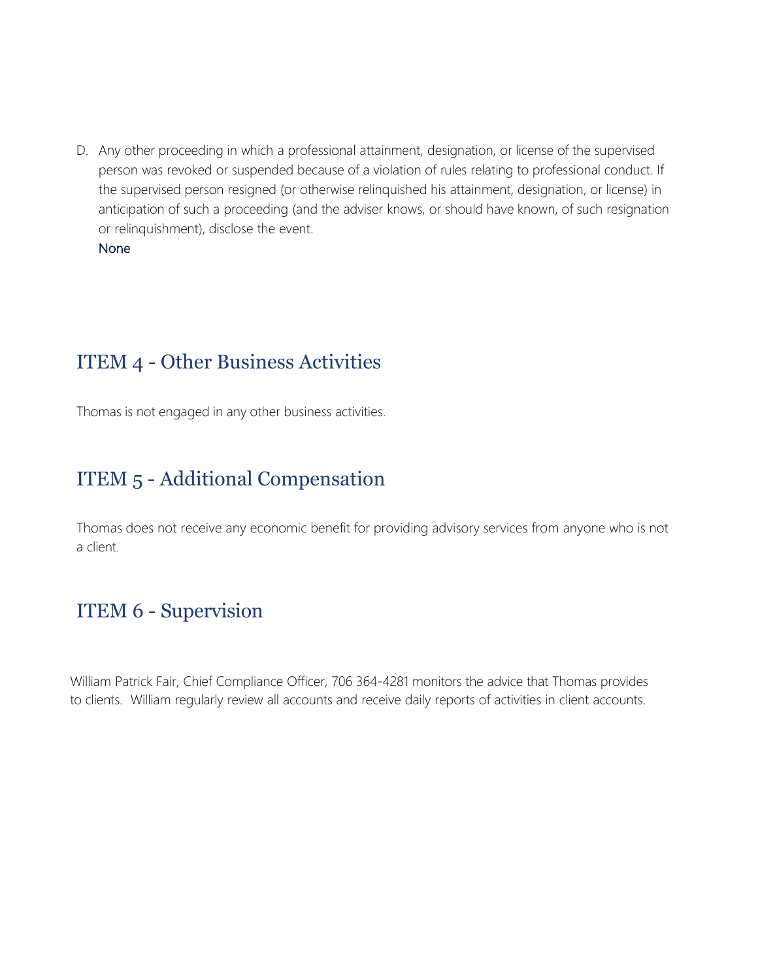D. Any other proceeding in which a professional attainment, designation, or license of the supervised person was revoked or suspended because of a violation of rules relating to professional conduct. If the supervised person resigned (or otherwise relinquished his attainment, designation, or license) in anticipation of such a proceeding (and the adviser knows, or should have known, of such resignation or relinquishment), disclose the event.

## None

# ITEM 4 - Other Business Activities

Thomas is not engaged in any other business activities.

# ITEM 5 - Additional Compensation

Thomas does not receive any economic benefit for providing advisory services from anyone who is not a client.

# ITEM 6 - Supervision

William Patrick Fair, Chief Compliance Officer, 706 364-4281 monitors the advice that Thomas provides to clients. William regularly review all accounts and receive daily reports of activities in client accounts.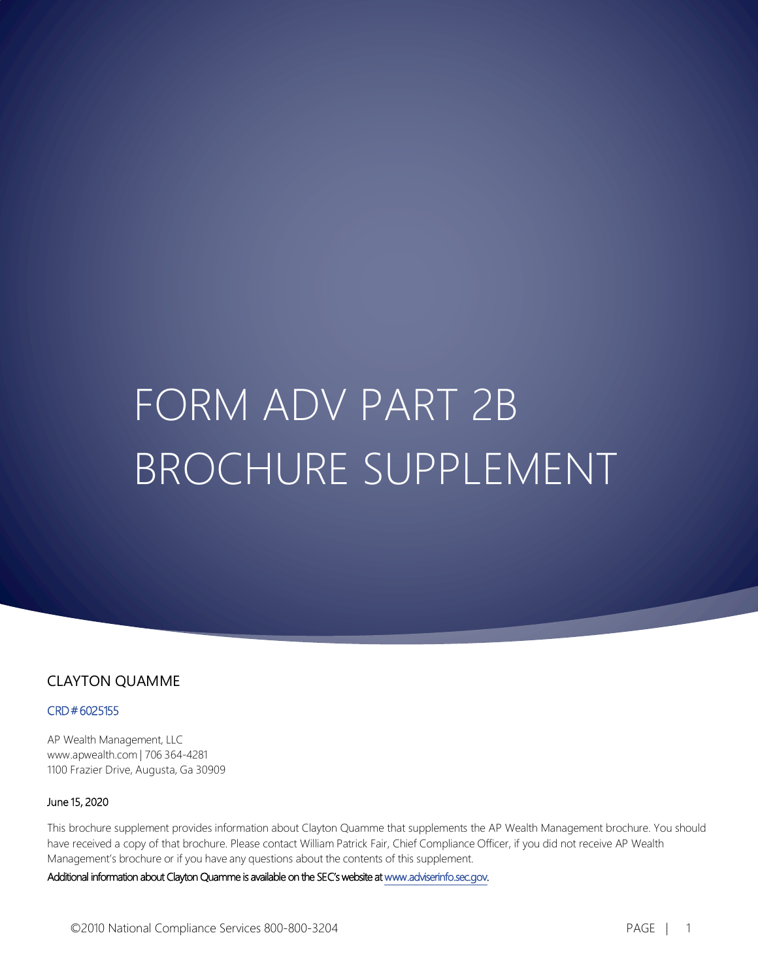# FORM ADV PART 2B BROCHURE SUPPLEMENT

## CLAYTON QUAMME

## CRD # 6025155

AP Wealth Management, LLC www.apwealth.com | 706 364-4281 1100 Frazier Drive, Augusta, Ga 30909

#### June 15, 2020

This brochure supplement provides information about Clayton Quamme that supplements the AP Wealth Management brochure. You should have received a copy of that brochure. Please contact William Patrick Fair, Chief Compliance Officer, if you did not receive AP Wealth Management's brochure or if you have any questions about the contents of this supplement.

Additional information about Clayton Quamme is available on the SEC's website at www.adviserinfo.sec.gov.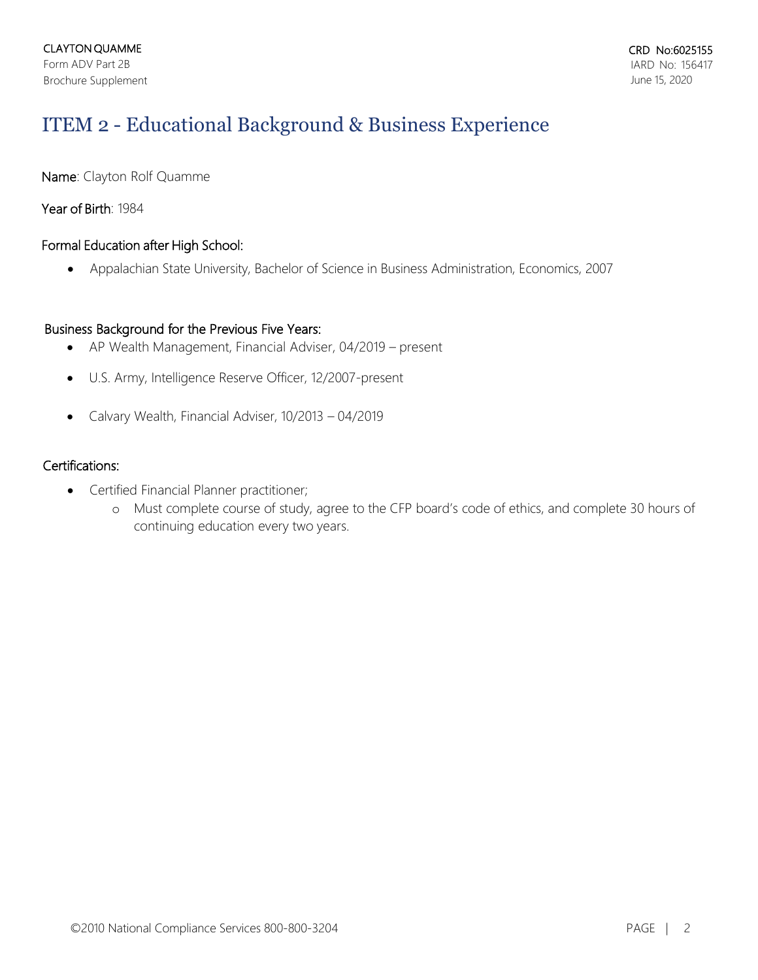# ITEM 2 - Educational Background & Business Experience

Name: Clayton Rolf Quamme

Year of Birth: 1984

## Formal Education after High School:

• Appalachian State University, Bachelor of Science in Business Administration, Economics, 2007

## Business Background for the Previous Five Years:

- AP Wealth Management, Financial Adviser, 04/2019 present
- U.S. Army, Intelligence Reserve Officer, 12/2007-present
- Calvary Wealth, Financial Adviser, 10/2013 04/2019

## Certifications:

- Certified Financial Planner practitioner;
	- o Must complete course of study, agree to the CFP board's code of ethics, and complete 30 hours of continuing education every two years.